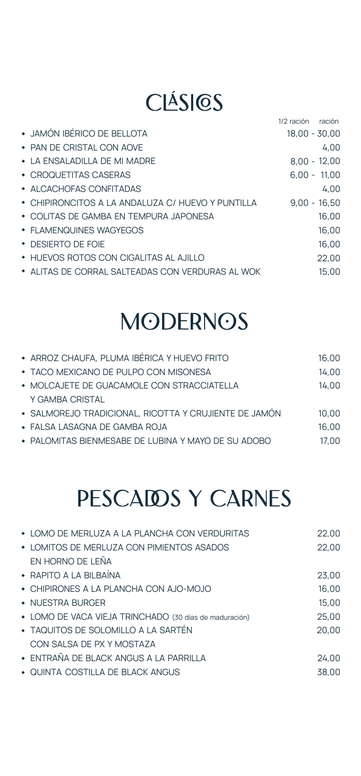### CLÁSICS

|                                                   | 1/2 ración<br>ración |
|---------------------------------------------------|----------------------|
| • JAMÓN IBÉRICO DE BELLOTA                        | $18.00 - 30.00$      |
| • PAN DE CRISTAL CON AOVE                         | 4.00                 |
| $\bullet$ TA ENSALADILLA DE MI MADRE              | $8.00 - 12.00$       |
| • CROQUETITAS CASERAS                             | $6.00 - 11.00$       |
| $\bullet$ ALCACHOFAS CONFITADAS                   | 4.00                 |
| • CHIPIRONCITOS A LA ANDALUZA C/ HUEVO Y PUNTILLA | $9.00 - 16.50$       |
| • COLITAS DE GAMBA EN TEMPURA JAPONESA            | 16.00                |
| • FLAMENQUINES WAGYEGOS                           | 16.00                |
| • DESIERTO DE FOIE                                | 16.00                |
| <b>* HUEVOS ROTOS CON CIGALITAS AL AJILLO</b>     | 22,00                |
| * ALITAS DE CORRAL SALTEADAS CON VERDURAS AL WOK  | 15.00                |

# **MODERNOS**

| * ARROZ CHAUFA, PLUMA IBÉRICA Y HUEVO FRITO           | 16.00 |
|-------------------------------------------------------|-------|
| • TACO MEXICANO DE PULPO CON MISONESA                 | 14.00 |
| • MOLCAJETE DE GUACAMOLE CON STRACCIATELLA            | 14.00 |
| Y GAMBA CRISTAL                                       |       |
| · SALMOREJO TRADICIONAL, RICOTTA Y CRUJIENTE DE JAMÓN | 10.00 |
| • FALSA LASAGNA DE GAMBA ROJA                         | 16.00 |
| • PALOMITAS BIENMESABE DE LUBINA Y MAYO DE SU ADOBO   | 17.00 |

# PESCAIDS Y CARNES

| • LOMO DE MERLUZA A LA PLANCHA CON VERDURITAS          | 22.00 |
|--------------------------------------------------------|-------|
| • LOMITOS DE MERLUZA CON PIMIENTOS ASADOS              | 22,00 |
| EN HORNO DE LEÑA                                       |       |
| $\bullet$ RAPITO A LA BILBAÍNA                         | 23.00 |
| • CHIPIRONES A LA PLANCHA CON AJO-MOJO                 | 16.00 |
| • NUESTRA BURGER                                       | 15,00 |
| • LOMO DE VACA VIEJA TRINCHADO (30 días de maduración) | 25.00 |
| • TAQUITOS DE SOLOMILLO A LA SARTÉN                    | 20.00 |
| CON SALSA DE PX Y MOSTAZA                              |       |
| • ENTRAÑA DE BLACK ANGUS A LA PARRILLA                 | 24.00 |
| • QUINTA COSTILLA DE BLACK ANGUS                       | 38.00 |